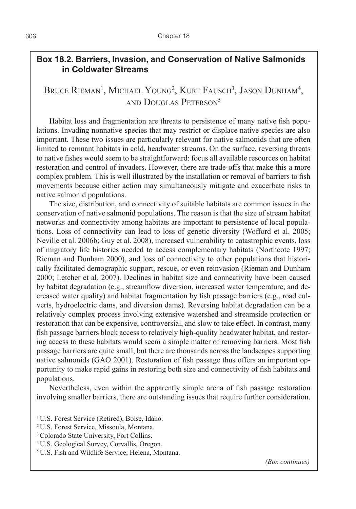## **Box 18.2. Barriers, Invasion, and Conservation of Native Salmonids in Coldwater Streams**

## Bruce Rieman<sup>1</sup>, Michael Young<sup>2</sup>, Kurt Fausch<sup>3</sup>, Jason Dunham<sup>4</sup>, and Douglas Peterson5

Habitat loss and fragmentation are threats to persistence of many native fish populations. Invading nonnative species that may restrict or displace native species are also important. These two issues are particularly relevant for native salmonids that are often limited to remnant habitats in cold, headwater streams. On the surface, reversing threats to native fishes would seem to be straightforward: focus all available resources on habitat restoration and control of invaders. However, there are trade-offs that make this a more complex problem. This is well illustrated by the installation or removal of barriers to fish movements because either action may simultaneously mitigate and exacerbate risks to native salmonid populations.

The size, distribution, and connectivity of suitable habitats are common issues in the conservation of native salmonid populations. The reason is that the size of stream habitat networks and connectivity among habitats are important to persistence of local populations. Loss of connectivity can lead to loss of genetic diversity (Wofford et al. 2005; Neville et al. 2006b; Guy et al. 2008), increased vulnerability to catastrophic events, loss of migratory life histories needed to access complementary habitats (Northcote 1997; Rieman and Dunham 2000), and loss of connectivity to other populations that historically facilitated demographic support, rescue, or even reinvasion (Rieman and Dunham 2000; Letcher et al. 2007). Declines in habitat size and connectivity have been caused by habitat degradation (e.g., streamflow diversion, increased water temperature, and decreased water quality) and habitat fragmentation by fish passage barriers (e.g., road culverts, hydroelectric dams, and diversion dams). Reversing habitat degradation can be a relatively complex process involving extensive watershed and streamside protection or restoration that can be expensive, controversial, and slow to take effect. In contrast, many fish passage barriers block access to relatively high-quality headwater habitat, and restoring access to these habitats would seem a simple matter of removing barriers. Most fish passage barriers are quite small, but there are thousands across the landscapes supporting native salmonids (GAO 2001). Restoration of fish passage thus offers an important opportunity to make rapid gains in restoring both size and connectivity of fish habitats and populations.

Nevertheless, even within the apparently simple arena of fish passage restoration involving smaller barriers, there are outstanding issues that require further consideration.

- <sup>1</sup>U.S. Forest Service (Retired), Boise, Idaho.
- <sup>2</sup>U.S. Forest Service, Missoula, Montana.
- <sup>3</sup>Colorado State University, Fort Collins.
- 4 U.S. Geological Survey, Corvallis, Oregon.
- <sup>5</sup>U.S. Fish and Wildlife Service, Helena, Montana.

*(Box continues)*